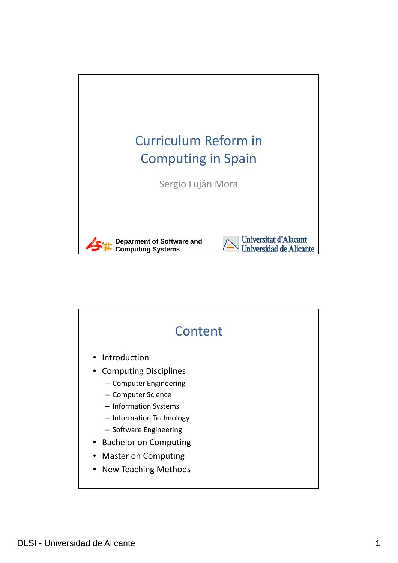

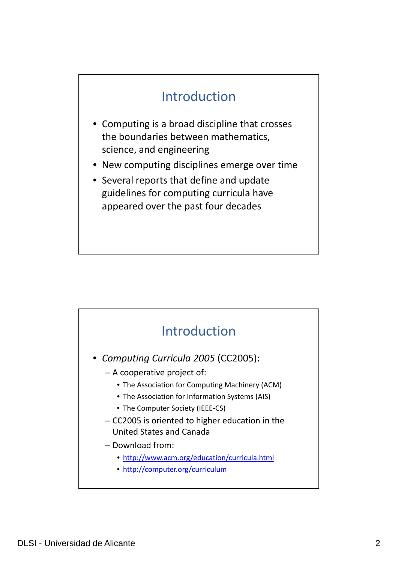## Introduction

- Computing is a broad discipline that crosses the boundaries between mathematics, science, and engineering
- New computing disciplines emerge over time
- Several reports that define and update guidelines for computing curricula have appeared over the past four decades

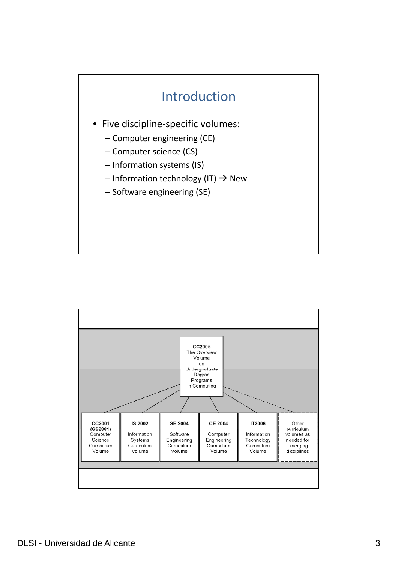## Introduction

- Five discipline‐specific volumes:
	- Computer engineering (CE)
	- Computer science (CS)
	- Information systems (IS)
	- Information technology (IT)  $\rightarrow$  New
	- Software engineering (SE)

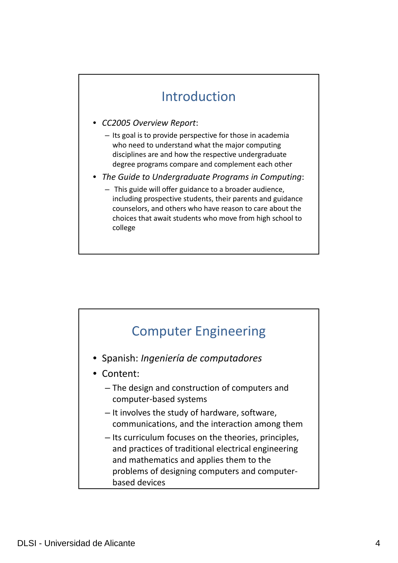#### Introduction

- *CC2005 Overview Report*:
	- $-$  Its goal is to provide perspective for those in academia who need to understand what the major computing disciplines are and how the respective undergraduate degree programs compare and complement each other
- *The Guide to Undergraduate Programs in Computing*:
	- This guide will offer guidance to a broader audience, including prospective students, their parents and guidance counselors, and others who have reason to care about the choices that await students who move from high school to college

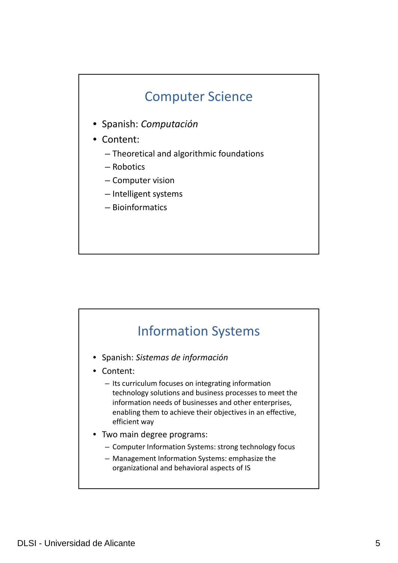#### Computer Science

- Spanish: *Computación*
- Content:
	- Theoretical and algorithmic foundations
	- Robotics
	- Computer vision
	- Intelligent systems
	- Bioinformatics

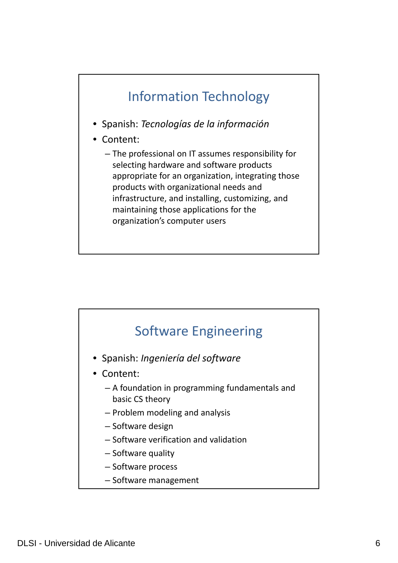### Information Technology

- Spanish: *Tecnologías de la información*
- Content:
	- The professional on IT assumes responsibility for selecting hardware and software products appropriate for an organization, integrating those products with organizational needs and infrastructure, and installing, customizing, and maintaining those applications for the organization's computer users

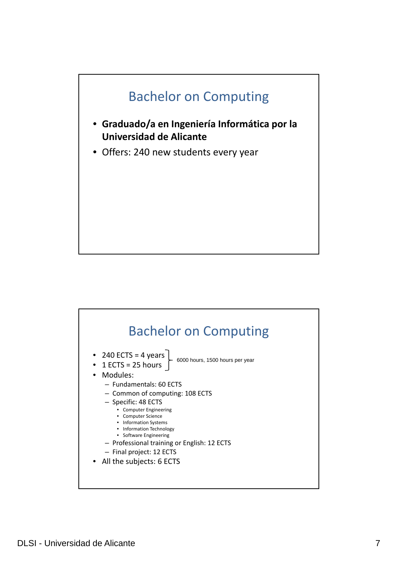

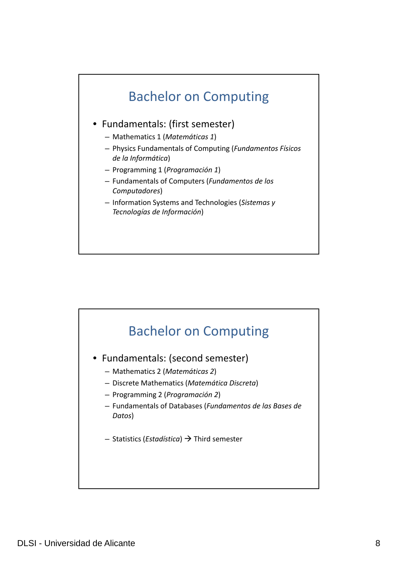

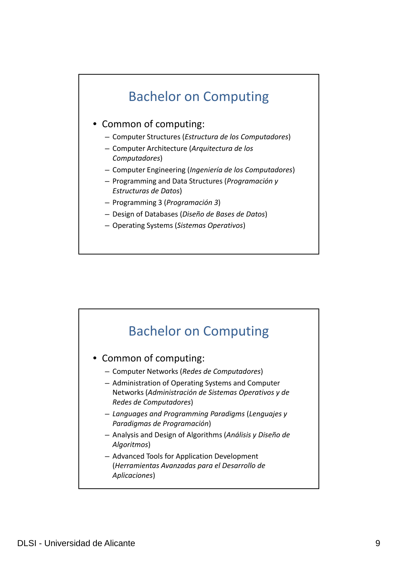## Bachelor on Computing

#### • Common of computing:

- Computer Structures (*Estructura de los Computadores*)
- Computer Architecture (*Arquitectura de los Computadores*)
- Computer Engineering (*Ingeniería de los Computadores*)
- Programming and Data Structures (*Programación y Estructuras de Datos*)
- Programming 3 (*Programación 3*)
- Design of Databases (*Diseño de Bases de Datos*)
- Operating Systems (*Sistemas Operativos*)

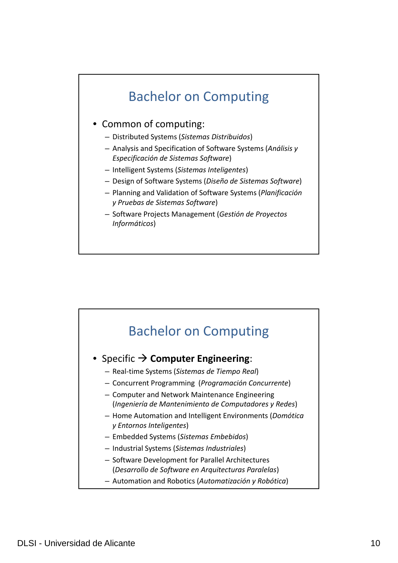## Bachelor on Computing

#### • Common of computing:

- Distrib d ute Systems (*Sistemas Distrib d ui os*)
- Analysis and Specification of Software Systems (*Análisis y Especificación de Sistemas Software*)
- Intelligent Systems (*Sistemas Inteligentes*)
- Design of Software Systems (*Diseño de Sistemas Software*)
- Planning and Validation of Software Systems (*Planificación y Pruebas de Sistemas Software*)
- Software Projects Management (*Gestión de Proyectos Informáticos*)

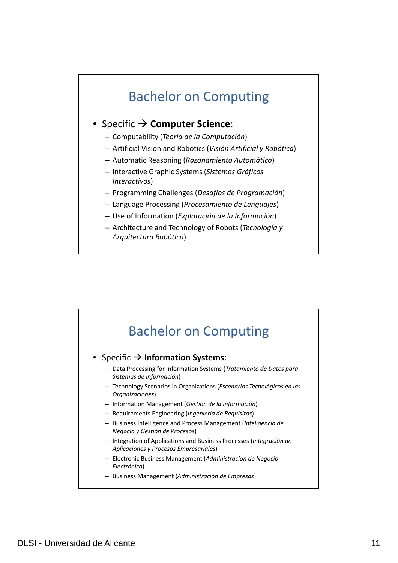#### Bachelor on Computing

#### **● Specific → Computer Science:**

- Computab li ity (*Teoría de la Computación*)
- Artificial Vision and Robotics (*Visión Artificial y Robótica*)
- Automatic Reasoning (*Razonamiento Automático*)
- Interactive Graphic Systems (*Sistemas Gráficos Interactivos*)
- Programming Challenges (*Desafíos de Programación* )
- Language Processing (*Procesamiento de Lenguajes*)
- Use of Information (*Explotación de la Información*)
- Architecture and Technology of Robots (*Tecnología y Arquitectura Robótica*)

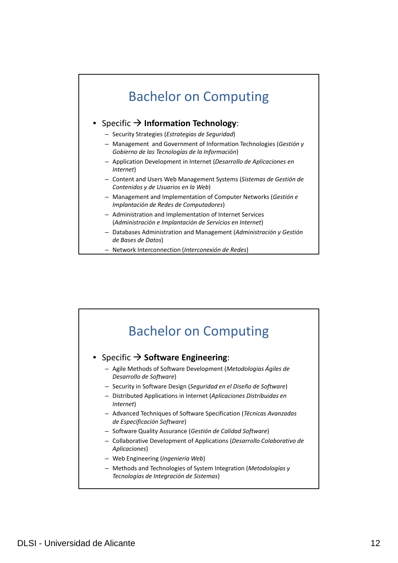

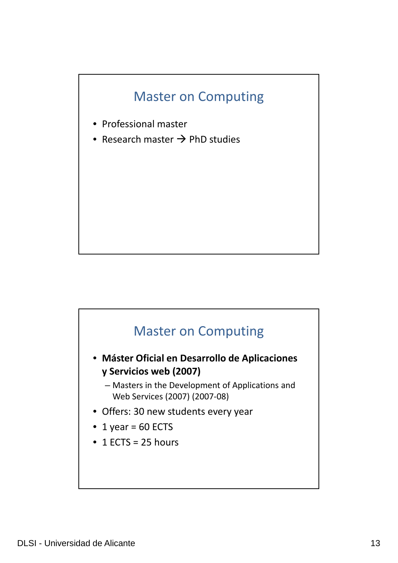

- Professional master
- Research master  $\rightarrow$  PhD studies

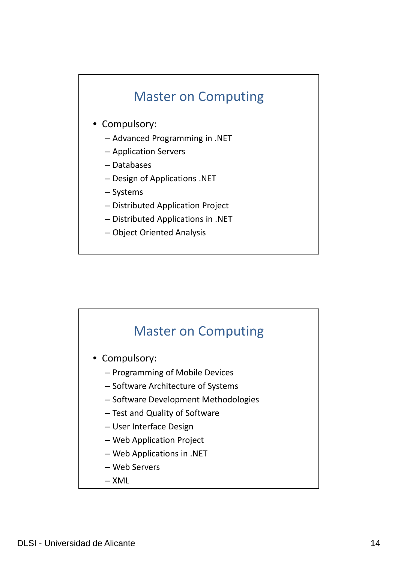- Compulsory:
	- Advanced Programming in .NET
	- Application Servers
	- Databases
	- Design of Applications .NET
	- Systems
	- Distributed Application Project
	- Distributed Applications in .NET
	- Object Oriented Analysis

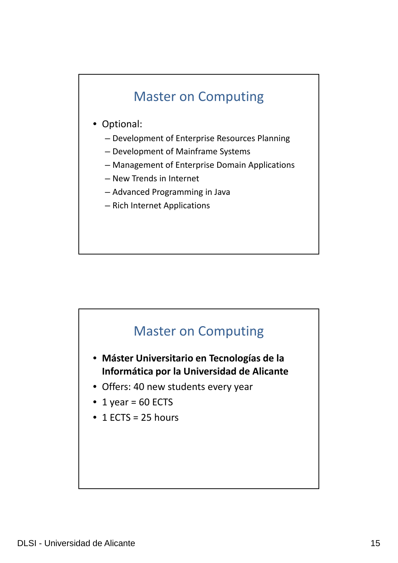- Optional:
	- Development of Enterprise Resources Planning
	- Development of Mainframe Systems
	- Management of Enterprise Domain Applications
	- New Trends in Internet
	- Advanced Programming in Java
	- Rich Internet Applications



- **Máster Universitario en Tecnologías de la Informática por la Universidad de Alicante**
- Offers: 40 new students every year
- 1 year =  $60$  ECTS
- $\bullet$  1 ECTS = 25 hours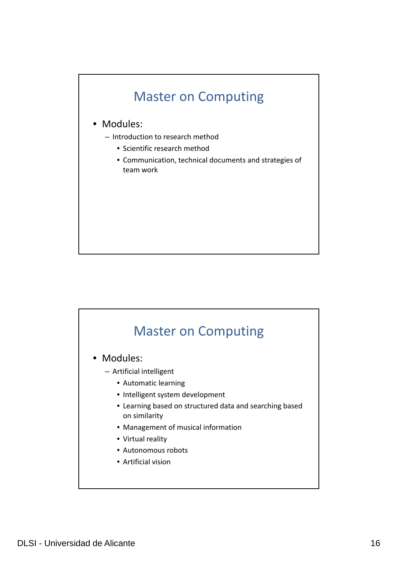

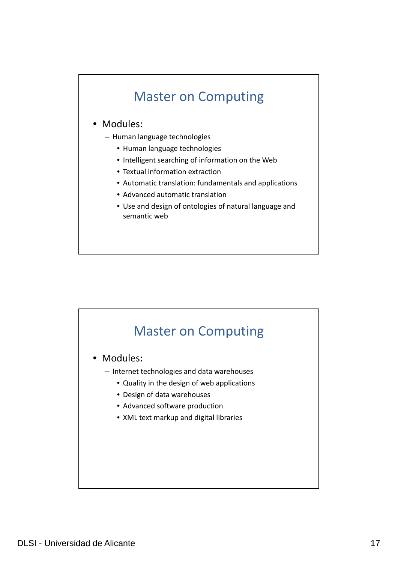#### • Modules:

- $-$  Human language technologies
	- Human language technologies
	- Intelligent searching of information on the Web
	- Textual information extraction
	- Automatic translation: fundamentals and applications
	- Advanced automatic translation
	- Use and design of ontologies of natural language and semantic web

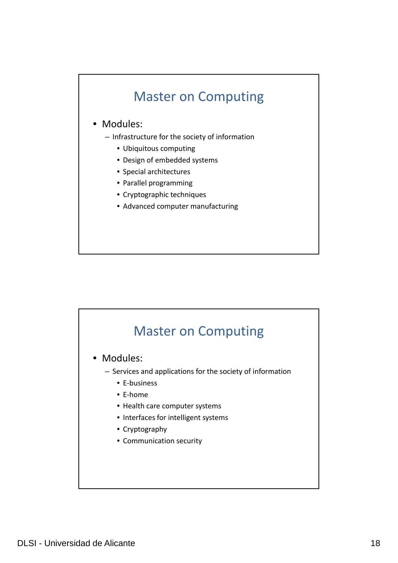#### • Modules:

- Infrastructure for the society of information
	- Ubiquitous computing
	- Design of embedded systems
	- Special architectures
	- Parallel programming
	- Cryptographic techniques
	- Advanced computer manufacturing

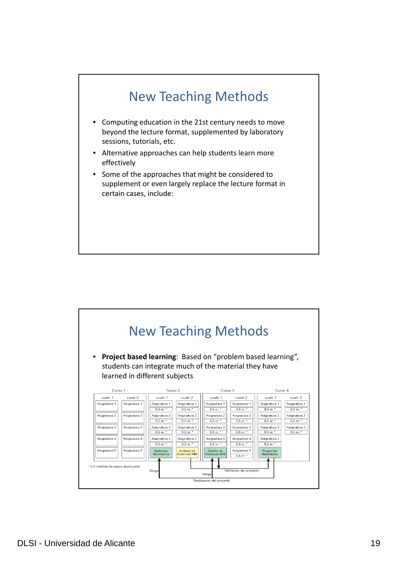